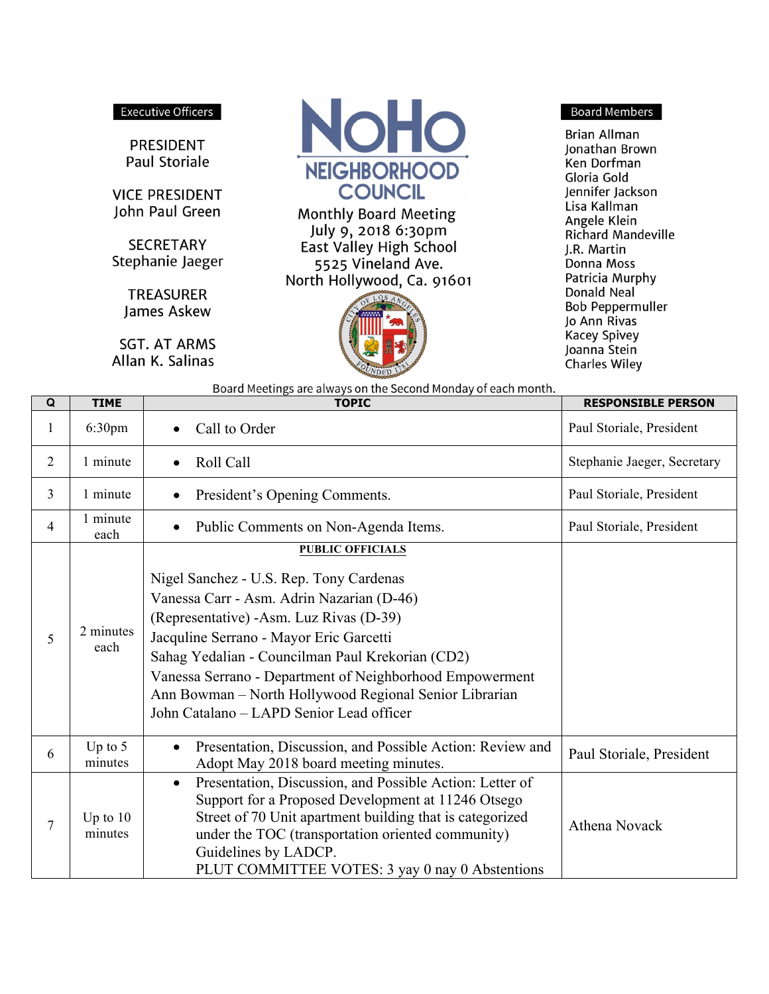## **Executive Officers**

**PRESIDENT** Paul Storiale

**VICE PRESIDENT** John Paul Green

**SECRETARY** Stephanie Jaeger

> **TREASURER** James Askew

**SGT. AT ARMS** Allan K. Salinas

т.  $\overline{\phantom{a}}$ 



Monthly Board Meeting July 9, 2018 6:30pm East Valley High School 5525 Vineland Ave. North Hollywood, Ca. 91601



**Board Members** 

**Brian Allman** Jonathan Brown Ken Dorfman Gloria Gold Jennifer Jackson Lisa Kallman Angele Klein Richard Mandeville J.R. Martin Donna Moss Patricia Murphy Donald Neal **Bob Peppermuller** Jo Ann Rivas **Kacey Spivey** Joanna Stein **Charles Wiley** 

**PECRANCIBLE BERGAN** 

Board Meetings are always on the Second Monday of each month.

| Q              | IIME                  | TOPIC                                                                                                                                                                                                                                                                                                                                                                                                                       | KESPUNSIBLE PERSUN          |
|----------------|-----------------------|-----------------------------------------------------------------------------------------------------------------------------------------------------------------------------------------------------------------------------------------------------------------------------------------------------------------------------------------------------------------------------------------------------------------------------|-----------------------------|
| 1              | 6:30 <sub>pm</sub>    | Call to Order                                                                                                                                                                                                                                                                                                                                                                                                               | Paul Storiale, President    |
| $\overline{2}$ | 1 minute              | Roll Call<br>$\bullet$                                                                                                                                                                                                                                                                                                                                                                                                      | Stephanie Jaeger, Secretary |
| 3              | 1 minute              | President's Opening Comments.<br>$\bullet$                                                                                                                                                                                                                                                                                                                                                                                  | Paul Storiale, President    |
| 4              | 1 minute<br>each      | Public Comments on Non-Agenda Items.<br>$\bullet$                                                                                                                                                                                                                                                                                                                                                                           | Paul Storiale, President    |
| 5              | 2 minutes<br>each     | <b>PUBLIC OFFICIALS</b><br>Nigel Sanchez - U.S. Rep. Tony Cardenas<br>Vanessa Carr - Asm. Adrin Nazarian (D-46)<br>(Representative) -Asm. Luz Rivas (D-39)<br>Jacquline Serrano - Mayor Eric Garcetti<br>Sahag Yedalian - Councilman Paul Krekorian (CD2)<br>Vanessa Serrano - Department of Neighborhood Empowerment<br>Ann Bowman - North Hollywood Regional Senior Librarian<br>John Catalano - LAPD Senior Lead officer |                             |
| 6              | Up to $5$<br>minutes  | Presentation, Discussion, and Possible Action: Review and<br>Adopt May 2018 board meeting minutes.                                                                                                                                                                                                                                                                                                                          | Paul Storiale, President    |
| $\tau$         | Up to $10$<br>minutes | Presentation, Discussion, and Possible Action: Letter of<br>$\bullet$<br>Support for a Proposed Development at 11246 Otsego<br>Street of 70 Unit apartment building that is categorized<br>under the TOC (transportation oriented community)<br>Guidelines by LADCP.<br>PLUT COMMITTEE VOTES: 3 yay 0 nay 0 Abstentions                                                                                                     | Athena Novack               |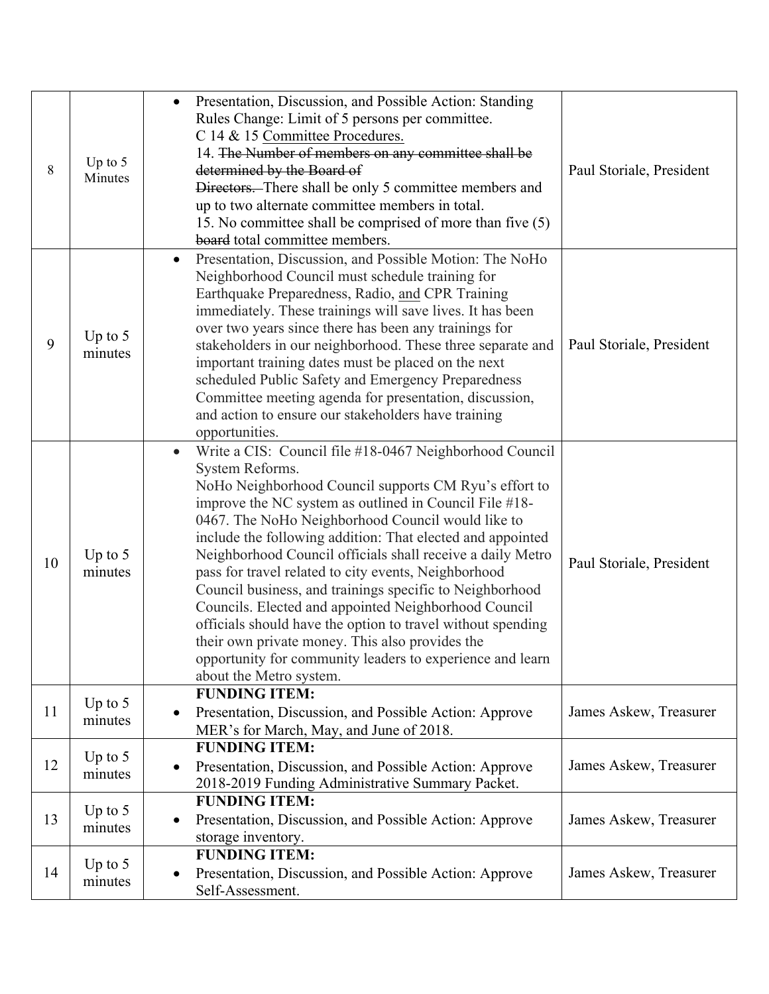| 8  | Up to $5$<br>Minutes | Presentation, Discussion, and Possible Action: Standing<br>$\bullet$<br>Rules Change: Limit of 5 persons per committee.<br>C 14 & 15 Committee Procedures.<br>14. The Number of members on any committee shall be<br>determined by the Board of<br>Directors. There shall be only 5 committee members and<br>up to two alternate committee members in total.<br>15. No committee shall be comprised of more than five (5)<br>board total committee members.                                                                                                                                                                                                                                                                                                                       | Paul Storiale, President |
|----|----------------------|-----------------------------------------------------------------------------------------------------------------------------------------------------------------------------------------------------------------------------------------------------------------------------------------------------------------------------------------------------------------------------------------------------------------------------------------------------------------------------------------------------------------------------------------------------------------------------------------------------------------------------------------------------------------------------------------------------------------------------------------------------------------------------------|--------------------------|
| 9  | Up to $5$<br>minutes | Presentation, Discussion, and Possible Motion: The NoHo<br>$\bullet$<br>Neighborhood Council must schedule training for<br>Earthquake Preparedness, Radio, and CPR Training<br>immediately. These trainings will save lives. It has been<br>over two years since there has been any trainings for<br>stakeholders in our neighborhood. These three separate and<br>important training dates must be placed on the next<br>scheduled Public Safety and Emergency Preparedness<br>Committee meeting agenda for presentation, discussion,<br>and action to ensure our stakeholders have training<br>opportunities.                                                                                                                                                                   | Paul Storiale, President |
| 10 | Up to $5$<br>minutes | Write a CIS: Council file #18-0467 Neighborhood Council<br>$\bullet$<br>System Reforms.<br>NoHo Neighborhood Council supports CM Ryu's effort to<br>improve the NC system as outlined in Council File #18-<br>0467. The NoHo Neighborhood Council would like to<br>include the following addition: That elected and appointed<br>Neighborhood Council officials shall receive a daily Metro<br>pass for travel related to city events, Neighborhood<br>Council business, and trainings specific to Neighborhood<br>Councils. Elected and appointed Neighborhood Council<br>officials should have the option to travel without spending<br>their own private money. This also provides the<br>opportunity for community leaders to experience and learn<br>about the Metro system. | Paul Storiale, President |
| 11 | Up to $5$<br>minutes | <b>FUNDING ITEM:</b><br>Presentation, Discussion, and Possible Action: Approve<br>$\bullet$<br>MER's for March, May, and June of 2018.                                                                                                                                                                                                                                                                                                                                                                                                                                                                                                                                                                                                                                            | James Askew, Treasurer   |
| 12 | Up to $5$<br>minutes | <b>FUNDING ITEM:</b><br>Presentation, Discussion, and Possible Action: Approve<br>$\bullet$<br>2018-2019 Funding Administrative Summary Packet.                                                                                                                                                                                                                                                                                                                                                                                                                                                                                                                                                                                                                                   | James Askew, Treasurer   |
| 13 | Up to $5$<br>minutes | <b>FUNDING ITEM:</b><br>Presentation, Discussion, and Possible Action: Approve<br>$\bullet$<br>storage inventory.                                                                                                                                                                                                                                                                                                                                                                                                                                                                                                                                                                                                                                                                 | James Askew, Treasurer   |
| 14 | Up to $5$<br>minutes | <b>FUNDING ITEM:</b><br>Presentation, Discussion, and Possible Action: Approve<br>٠<br>Self-Assessment.                                                                                                                                                                                                                                                                                                                                                                                                                                                                                                                                                                                                                                                                           | James Askew, Treasurer   |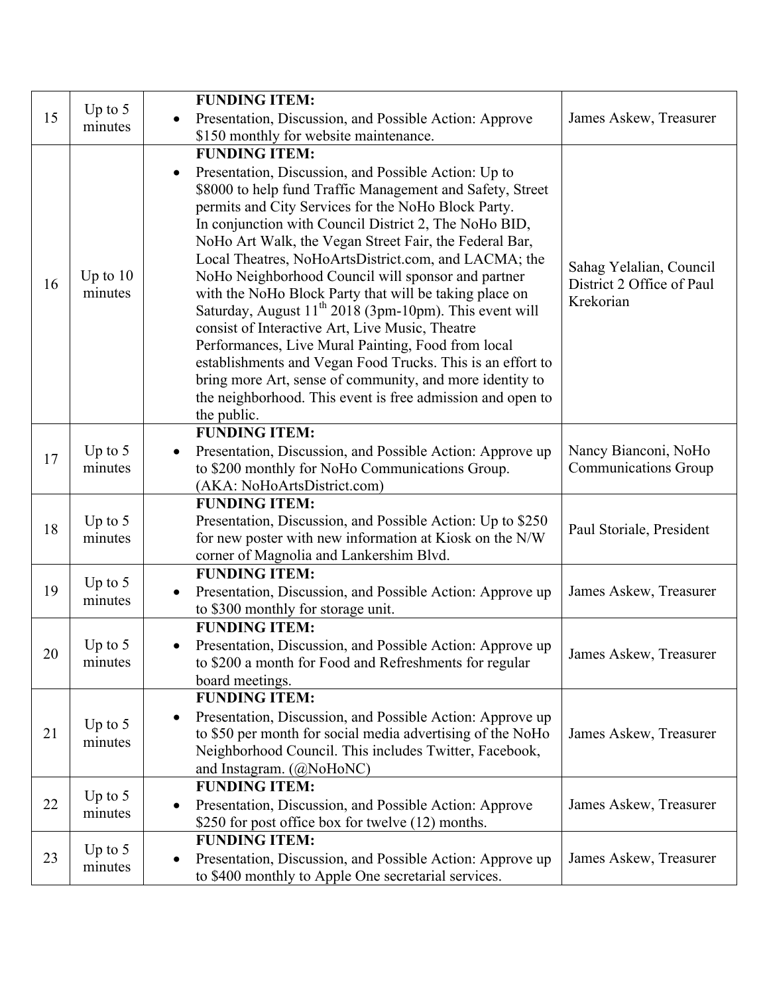| 15 | Up to $5$<br>minutes  | <b>FUNDING ITEM:</b>                                                                                       |                                                                   |
|----|-----------------------|------------------------------------------------------------------------------------------------------------|-------------------------------------------------------------------|
|    |                       | Presentation, Discussion, and Possible Action: Approve                                                     | James Askew, Treasurer                                            |
|    |                       | \$150 monthly for website maintenance.                                                                     |                                                                   |
|    |                       | <b>FUNDING ITEM:</b>                                                                                       |                                                                   |
|    | Up to $10$<br>minutes | Presentation, Discussion, and Possible Action: Up to                                                       |                                                                   |
|    |                       | \$8000 to help fund Traffic Management and Safety, Street                                                  | Sahag Yelalian, Council<br>District 2 Office of Paul<br>Krekorian |
|    |                       | permits and City Services for the NoHo Block Party.                                                        |                                                                   |
| 16 |                       | In conjunction with Council District 2, The NoHo BID,                                                      |                                                                   |
|    |                       | NoHo Art Walk, the Vegan Street Fair, the Federal Bar,                                                     |                                                                   |
|    |                       | Local Theatres, NoHoArtsDistrict.com, and LACMA; the<br>NoHo Neighborhood Council will sponsor and partner |                                                                   |
|    |                       | with the NoHo Block Party that will be taking place on                                                     |                                                                   |
|    |                       | Saturday, August 11 <sup>th</sup> 2018 (3pm-10pm). This event will                                         |                                                                   |
|    |                       | consist of Interactive Art, Live Music, Theatre                                                            |                                                                   |
|    |                       | Performances, Live Mural Painting, Food from local                                                         |                                                                   |
|    |                       | establishments and Vegan Food Trucks. This is an effort to                                                 |                                                                   |
|    |                       | bring more Art, sense of community, and more identity to                                                   |                                                                   |
|    |                       | the neighborhood. This event is free admission and open to                                                 |                                                                   |
|    |                       | the public.<br><b>FUNDING ITEM:</b>                                                                        |                                                                   |
|    | Up to $5$             | Presentation, Discussion, and Possible Action: Approve up                                                  | Nancy Bianconi, NoHo                                              |
| 17 | minutes               | to \$200 monthly for NoHo Communications Group.                                                            | <b>Communications Group</b>                                       |
|    |                       | (AKA: NoHoArtsDistrict.com)                                                                                |                                                                   |
|    |                       | <b>FUNDING ITEM:</b>                                                                                       |                                                                   |
| 18 | Up to $5$             | Presentation, Discussion, and Possible Action: Up to \$250                                                 | Paul Storiale, President                                          |
|    | minutes               | for new poster with new information at Kiosk on the N/W                                                    |                                                                   |
|    |                       | corner of Magnolia and Lankershim Blvd.                                                                    |                                                                   |
|    | Up to $5$             | <b>FUNDING ITEM:</b>                                                                                       |                                                                   |
| 19 | minutes               | Presentation, Discussion, and Possible Action: Approve up<br>to \$300 monthly for storage unit.            | James Askew, Treasurer                                            |
|    |                       | <b>FUNDING ITEM:</b>                                                                                       |                                                                   |
|    | Up to $5$             | Presentation, Discussion, and Possible Action: Approve up                                                  |                                                                   |
| 20 | minutes               | to \$200 a month for Food and Refreshments for regular                                                     | James Askew, Treasurer                                            |
|    |                       | board meetings.                                                                                            |                                                                   |
|    |                       | <b>FUNDING ITEM:</b>                                                                                       |                                                                   |
|    | Up to $5$             | Presentation, Discussion, and Possible Action: Approve up                                                  |                                                                   |
| 21 | minutes               | to \$50 per month for social media advertising of the NoHo                                                 | James Askew, Treasurer                                            |
|    |                       | Neighborhood Council. This includes Twitter, Facebook,                                                     |                                                                   |
|    |                       | and Instagram. (@NoHoNC)<br><b>FUNDING ITEM:</b>                                                           |                                                                   |
| 22 | Up to $5$             | Presentation, Discussion, and Possible Action: Approve                                                     | James Askew, Treasurer                                            |
|    | minutes               | \$250 for post office box for twelve (12) months.                                                          |                                                                   |
| 23 | Up to $5$             | <b>FUNDING ITEM:</b>                                                                                       |                                                                   |
|    |                       | Presentation, Discussion, and Possible Action: Approve up                                                  | James Askew, Treasurer                                            |
|    | minutes               | to \$400 monthly to Apple One secretarial services.                                                        |                                                                   |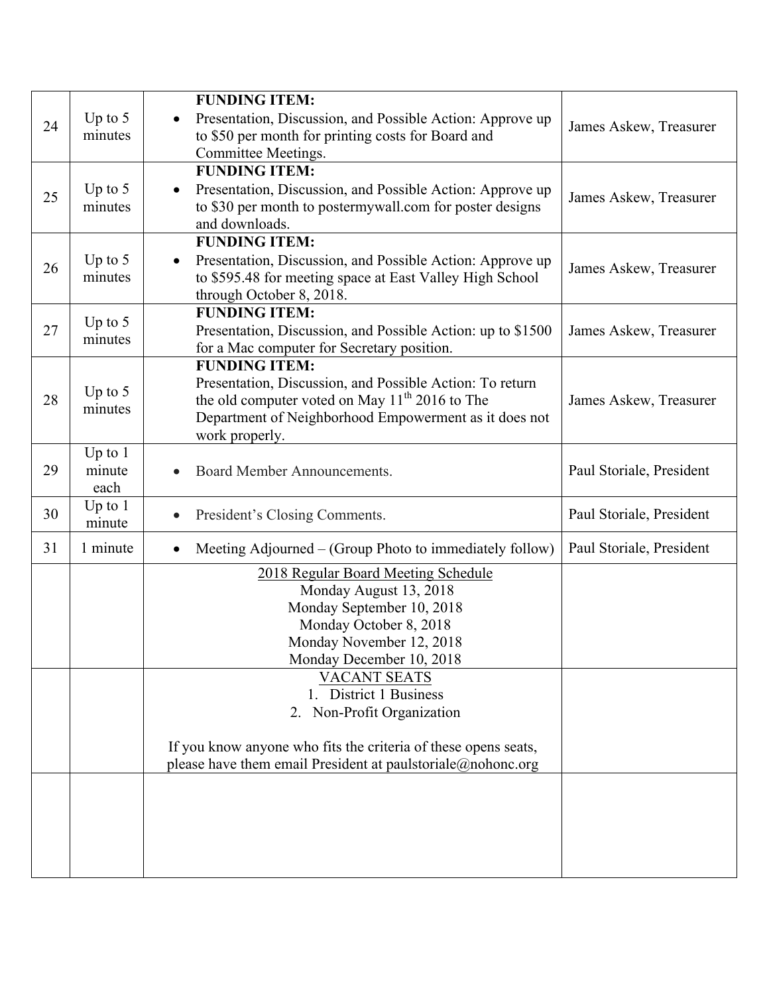| 24 | Up to $5$<br>minutes        | <b>FUNDING ITEM:</b><br>Presentation, Discussion, and Possible Action: Approve up<br>to \$50 per month for printing costs for Board and<br>Committee Meetings.                                                                                                                                                                                                                               | James Askew, Treasurer   |
|----|-----------------------------|----------------------------------------------------------------------------------------------------------------------------------------------------------------------------------------------------------------------------------------------------------------------------------------------------------------------------------------------------------------------------------------------|--------------------------|
| 25 | Up to $5$<br>minutes        | <b>FUNDING ITEM:</b><br>Presentation, Discussion, and Possible Action: Approve up<br>$\bullet$<br>to \$30 per month to postermywall.com for poster designs<br>and downloads.                                                                                                                                                                                                                 | James Askew, Treasurer   |
| 26 | Up to $5$<br>minutes        | <b>FUNDING ITEM:</b><br>Presentation, Discussion, and Possible Action: Approve up<br>$\bullet$<br>to \$595.48 for meeting space at East Valley High School<br>through October 8, 2018.                                                                                                                                                                                                       | James Askew, Treasurer   |
| 27 | Up to $5$<br>minutes        | <b>FUNDING ITEM:</b><br>Presentation, Discussion, and Possible Action: up to \$1500<br>for a Mac computer for Secretary position.                                                                                                                                                                                                                                                            | James Askew, Treasurer   |
| 28 | Up to $5$<br>minutes        | <b>FUNDING ITEM:</b><br>Presentation, Discussion, and Possible Action: To return<br>the old computer voted on May 11 <sup>th</sup> 2016 to The<br>Department of Neighborhood Empowerment as it does not<br>work properly.                                                                                                                                                                    | James Askew, Treasurer   |
| 29 | Up to $1$<br>minute<br>each | Board Member Announcements.<br>$\bullet$                                                                                                                                                                                                                                                                                                                                                     | Paul Storiale, President |
| 30 | Up to $1$<br>minute         | President's Closing Comments.<br>$\bullet$                                                                                                                                                                                                                                                                                                                                                   | Paul Storiale, President |
| 31 | 1 minute                    | Meeting Adjourned – (Group Photo to immediately follow)<br>$\bullet$                                                                                                                                                                                                                                                                                                                         | Paul Storiale, President |
|    |                             | 2018 Regular Board Meeting Schedule<br>Monday August 13, 2018<br>Monday September 10, 2018<br>Monday October 8, 2018<br>Monday November 12, 2018<br>Monday December 10, 2018<br><b>VACANT SEATS</b><br>1. District 1 Business<br>2. Non-Profit Organization<br>If you know anyone who fits the criteria of these opens seats,<br>please have them email President at paulstoriale@nohonc.org |                          |